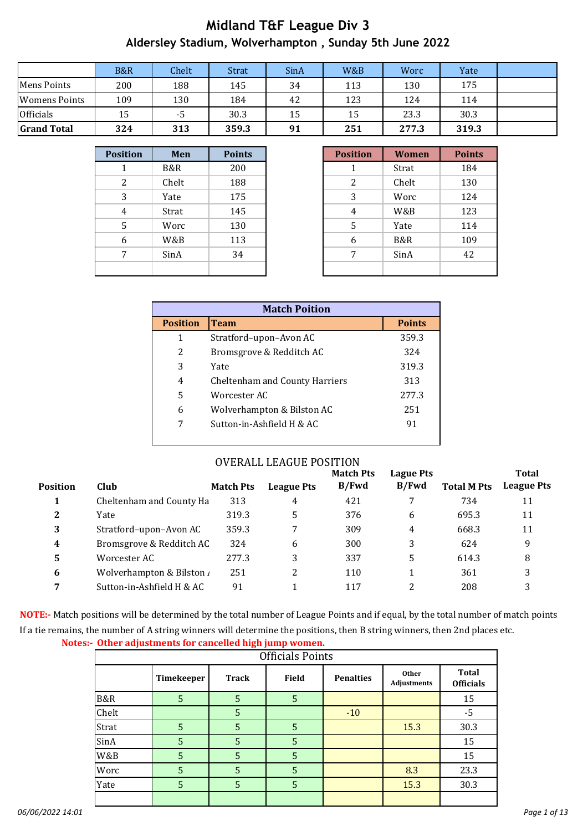|                    | B&R | Chelt | <b>Strat</b> | SinA | W&B | Worc  | Yate  |  |
|--------------------|-----|-------|--------------|------|-----|-------|-------|--|
| <b>Mens Points</b> | 200 | 188   | 145          | 34   | 113 | 130   | 175   |  |
| Womens Points      | 109 | 130   | 184          | 42   | 123 | 124   | 114   |  |
| <b>Officials</b>   | 15  | -5    | 30.3         | 15   | 15  | 23.3  | 30.3  |  |
| <b>Grand Total</b> | 324 | 313   | 359.3        | 91   | 251 | 277.3 | 319.3 |  |

| <b>Position</b> | Men   | <b>Points</b> |
|-----------------|-------|---------------|
| 1               | B&R   | 200           |
| 2               | Chelt | 188           |
| 3               | Yate  | 175           |
| 4               | Strat | 145           |
| 5               | Worc  | 130           |
| 6               | W&B   | 113           |
| 7               | SinA  | 34            |
|                 |       |               |

| <b>Position</b> | Men   | <b>Points</b> | <b>Position</b> | <b>Women</b> | <b>Points</b> |
|-----------------|-------|---------------|-----------------|--------------|---------------|
|                 | B&R   | 200           |                 | Strat        | 184           |
| 2               | Chelt | 188           | 2               | Chelt        | 130           |
| 3               | Yate  | 175           | 3               | Worc         | 124           |
| 4               | Strat | 145           | 4               | W&B          | 123           |
| 5               | Worc  | 130           | 5               | Yate         | 114           |
| 6               | W&B   | 113           | 6               | B&R          | 109           |
| 7               | SinA  | 34            | 7               | SinA         | 42            |
|                 |       |               |                 |              |               |

|                 | <b>Match Poition</b>           |               |
|-----------------|--------------------------------|---------------|
| <b>Position</b> | <b>Team</b>                    | <b>Points</b> |
| 1               | Stratford-upon-Avon AC         | 359.3         |
| 2               | Bromsgrove & Redditch AC       | 324           |
| 3               | Yate                           | 319.3         |
| 4               | Cheltenham and County Harriers | 313           |
| 5               | Worcester AC                   | 277.3         |
| 6               | Wolverhampton & Bilston AC     | 251           |
| 7               | Sutton-in-Ashfield H & AC      | 91            |

#### OVERALL LEAGUE POSITION

|                 |                           |                  |                   | <b>Match Pts</b> | <b>Lague Pts</b> |                    | <b>Total</b>      |
|-----------------|---------------------------|------------------|-------------------|------------------|------------------|--------------------|-------------------|
| <b>Position</b> | Club                      | <b>Match Pts</b> | <b>League Pts</b> | B/Fwd            | B/Fwd            | <b>Total M Pts</b> | <b>League Pts</b> |
| 1               | Cheltenham and County Ha  | 313              | 4                 | 421              | 7                | 734                | 11                |
| 2               | Yate                      | 319.3            | 5                 | 376              | 6                | 695.3              | 11                |
| 3               | Stratford-upon-Avon AC    | 359.3            |                   | 309              | 4                | 668.3              | 11                |
| 4               | Bromsgrove & Redditch AC  | 324              | 6                 | 300              | 3                | 624                | 9                 |
| 5               | Worcester AC              | 277.3            | 3                 | 337              | 5                | 614.3              | 8                 |
| 6               | Wolverhampton & Bilston / | 251              |                   | 110              |                  | 361                | 3                 |
| 7               | Sutton-in-Ashfield H & AC | 91               |                   | 117              | 2                | 208                |                   |
|                 |                           |                  |                   |                  |                  |                    |                   |

**NOTE:-** Match positions will be determined by the total number of League Points and if equal, by the total number of match points. If a tie remains, the number of A string winners will determine the positions, then B string winners, then 2nd places etc.

| Notes:- Other adjustments for cancelled high jump women. |
|----------------------------------------------------------|
|----------------------------------------------------------|

|       |            |              | <b>Officials Points</b> |                  |                             |                                  |
|-------|------------|--------------|-------------------------|------------------|-----------------------------|----------------------------------|
|       | Timekeeper | <b>Track</b> | <b>Field</b>            | <b>Penalties</b> | <b>Other</b><br>Adjustments | <b>Total</b><br><b>Officials</b> |
| B&R   | 5          | 5            | 5                       |                  |                             | 15                               |
| Chelt |            | 5            |                         | $-10$            |                             | $-5$                             |
| Strat | 5          | 5            | 5                       |                  | 15.3                        | 30.3                             |
| SinA  | 5          | 5            | 5                       |                  |                             | 15                               |
| W&B   | 5          | 5            | 5                       |                  |                             | 15                               |
| Worc  | 5          | 5            | 5                       |                  | 8.3                         | 23.3                             |
| Yate  | 5          | 5            | 5                       |                  | 15.3                        | 30.3                             |
|       |            |              |                         |                  |                             |                                  |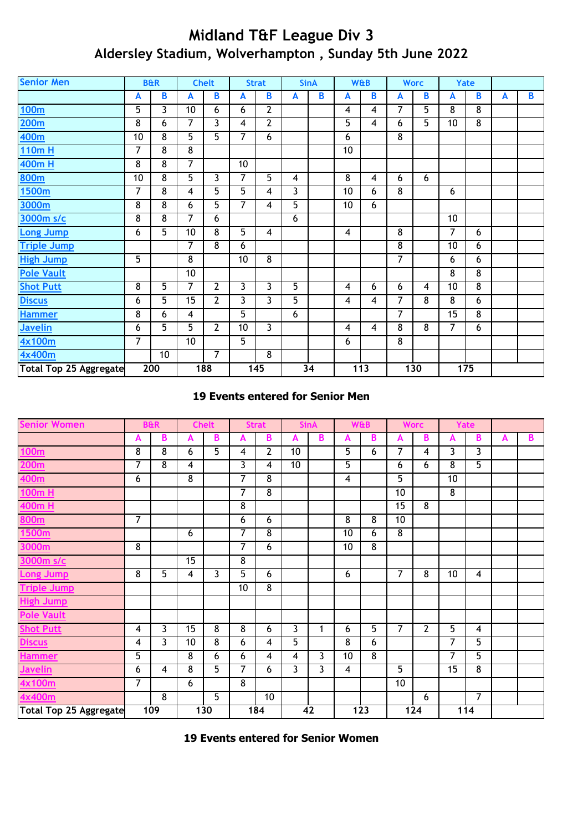| <b>Senior Men</b>             |                | <b>B&amp;R</b>  |                 | <b>Chelt</b>            |                 | <b>Strat</b>            |                | <b>SinA</b> |                 | <b>W&amp;B</b> |                | <b>Worc</b>             |                 | Yate           |   |   |
|-------------------------------|----------------|-----------------|-----------------|-------------------------|-----------------|-------------------------|----------------|-------------|-----------------|----------------|----------------|-------------------------|-----------------|----------------|---|---|
|                               | A              | B               | A               | B                       | A               | B                       | A              | B           | A               | $\mathbf{B}$   | A              | B                       | A               | B              | A | B |
| <u>100m</u>                   | 5              | 3               | 10              | 6                       | 6               | 2                       |                |             | 4               | 4              | 7              | 5                       | 8               | 8              |   |   |
| <u>200m</u>                   | 8              | 6               | 7               | $\overline{\mathbf{3}}$ | $\overline{4}$  | $\overline{2}$          |                |             | 5               | 4              | $6\phantom{a}$ | $\overline{5}$          | $\overline{10}$ | $\overline{8}$ |   |   |
| 400m                          | 10             | 8               | $\overline{5}$  | $\overline{5}$          | $\overline{7}$  | 6                       |                |             | 6               |                | 8              |                         |                 |                |   |   |
| 110m H                        | 7              | 8               | 8               |                         |                 |                         |                |             | 10              |                |                |                         |                 |                |   |   |
| <b>400mH</b>                  | 8              | 8               | 7               |                         | 10              |                         |                |             |                 |                |                |                         |                 |                |   |   |
| 800m                          | 10             | 8               | 5               | 3                       | $\overline{7}$  | 5                       | 4              |             | 8               | 4              | 6              | 6                       |                 |                |   |   |
| 1500m                         | 7              | $\overline{8}$  | 4               | 5                       | $\overline{5}$  | 4                       | 3              |             | 10              | 6              | $\overline{8}$ |                         | 6               |                |   |   |
| 3000m                         | 8              | $\overline{8}$  | 6               | $\overline{5}$          | $\overline{7}$  | 4                       | $\overline{5}$ |             | $\overline{10}$ | 6              |                |                         |                 |                |   |   |
| 3000m s/c                     | 8              | $\overline{8}$  | 7               | 6                       |                 |                         | 6              |             |                 |                |                |                         | 10              |                |   |   |
| <b>Long Jump</b>              | 6              | $\overline{5}$  | $\overline{10}$ | $\overline{8}$          | $\overline{5}$  | 4                       |                |             | $\overline{4}$  |                | $\overline{8}$ |                         | $\overline{7}$  | 6              |   |   |
| <b>Triple Jump</b>            |                |                 | 7               | $\overline{8}$          | 6               |                         |                |             |                 |                | $\overline{8}$ |                         | 10              | 6              |   |   |
| <b>High Jump</b>              | $\overline{5}$ |                 | 8               |                         | $\overline{10}$ | $\overline{\mathbf{8}}$ |                |             |                 |                | 7              |                         | 6               | 6              |   |   |
| <b>Pole Vault</b>             |                |                 | $\overline{10}$ |                         |                 |                         |                |             |                 |                |                |                         | 8               | $\overline{8}$ |   |   |
| <b>Shot Putt</b>              | $\overline{8}$ | $\overline{5}$  | 7               | $\overline{2}$          | $\overline{3}$  | 3                       | 5              |             | $\overline{4}$  | 6              | 6              | $\overline{\mathbf{4}}$ | $\overline{10}$ | $\overline{8}$ |   |   |
| <b>Discus</b>                 | 6              | 5               | 15              | $\mathbf{2}$            | 3               | 3                       | 5              |             | 4               | 4              | 7              | 8                       | 8               | 6              |   |   |
| <b>Hammer</b>                 | 8              | 6               | 4               |                         | 5               |                         | 6              |             |                 |                | 7              |                         | $\overline{15}$ | 8              |   |   |
| <b>Javelin</b>                | 6              | 5               | $\overline{5}$  | $\overline{2}$          | 10              | 3                       |                |             | $\overline{4}$  | $\overline{4}$ | 8              | 8                       | 7               | 6              |   |   |
| <b>4x100m</b>                 | $\overline{7}$ |                 | $\overline{10}$ |                         | $\overline{5}$  |                         |                |             | 6               |                | $\overline{8}$ |                         |                 |                |   |   |
| 4x400m                        |                | 10 <sup>°</sup> |                 | $\overline{7}$          |                 | 8                       |                |             |                 |                |                |                         |                 |                |   |   |
| <b>Total Top 25 Aggregate</b> |                | 200             |                 | 188                     |                 | 145                     |                | 34          |                 | 113            |                | 130                     |                 | 175            |   |   |

#### **19 Events entered for Senior Men**

| <b>Senior Women</b>    |                | <b>B&amp;R</b>          |                 | <b>Chelt</b>   |                | <b>Strat</b>   |                 | <b>SinA</b> |                | <b>W&amp;B</b> |                 | <b>Worc</b>             |                | <b>Yate</b>             |   |   |
|------------------------|----------------|-------------------------|-----------------|----------------|----------------|----------------|-----------------|-------------|----------------|----------------|-----------------|-------------------------|----------------|-------------------------|---|---|
|                        | A              | В                       | A               | В              | A              | B              | A               | В           | A              | B              | A               | B                       | A              | B                       | A | B |
| 100m                   | 8              | 8                       | 6               | 5              | 4              | $\overline{2}$ | 10 <sup>°</sup> |             | 5              | 6              | $\overline{7}$  | $\overline{\mathbf{4}}$ | 3              | 3                       |   |   |
| 200 <sub>m</sub>       | $\overline{7}$ | $\overline{8}$          | 4               |                | 3              | 4              | 10 <sup>1</sup> |             | 5              |                | 6               | 6                       | $\overline{8}$ | 5                       |   |   |
| 400m                   | 6              |                         | 8               |                | $\overline{7}$ | 8              |                 |             | 4              |                | 5               |                         | 10             |                         |   |   |
| 100m H                 |                |                         |                 |                | $\overline{7}$ | $\overline{8}$ |                 |             |                |                | 10              |                         | 8              |                         |   |   |
| 400m H                 |                |                         |                 |                | $\overline{8}$ |                |                 |             |                |                | $\overline{15}$ | $\overline{8}$          |                |                         |   |   |
| 800m                   | $\overline{7}$ |                         |                 |                | 6              | 6              |                 |             | 8              | 8              | 10              |                         |                |                         |   |   |
| 1500m                  |                |                         | 6               |                | $\overline{7}$ | 8              |                 |             | 10             | 6              | $\overline{8}$  |                         |                |                         |   |   |
| 3000m                  | $\overline{8}$ |                         |                 |                | $\overline{7}$ | 6              |                 |             | 10             | $\overline{8}$ |                 |                         |                |                         |   |   |
| 3000m s/c              |                |                         | $\overline{15}$ |                | $\overline{8}$ |                |                 |             |                |                |                 |                         |                |                         |   |   |
| <b>Long Jump</b>       | 8              | $\overline{5}$          | 4               | 3              | 5              | 6              |                 |             | 6              |                | $\overline{7}$  | 8                       | 10             | $\overline{\mathbf{4}}$ |   |   |
| <b>Triple Jump</b>     |                |                         |                 |                | 10             | 8              |                 |             |                |                |                 |                         |                |                         |   |   |
| <b>High Jump</b>       |                |                         |                 |                |                |                |                 |             |                |                |                 |                         |                |                         |   |   |
| <b>Pole Vault</b>      |                |                         |                 |                |                |                |                 |             |                |                |                 |                         |                |                         |   |   |
| <b>Shot Putt</b>       | 4              | 3                       | 15              | 8              | $\overline{8}$ | 6              | 3               | 1           | 6              | 5              | 7               | $\overline{2}$          | $\overline{5}$ | 4                       |   |   |
| <b>Discus</b>          | 4              | $\overline{\mathbf{3}}$ | $\overline{10}$ | $\overline{8}$ | 6              | 4              | 5               |             | $\overline{8}$ | 6              |                 |                         | $\overline{7}$ | 5                       |   |   |
| <b>Hammer</b>          | 5              |                         | $\overline{8}$  | 6              | 6              | 4              | 4               | 3           | 10             | $\overline{8}$ |                 |                         | 7              | 5                       |   |   |
| <u>Javelin</u>         | 6              | 4                       | 8               | $\overline{5}$ | 7              | 6              | 3               | 3           | 4              |                | 5               |                         | 15             | 8                       |   |   |
| 4x100m                 | $\overline{7}$ |                         | 6               |                | $\overline{8}$ |                |                 |             |                |                | $\overline{10}$ |                         |                |                         |   |   |
| 4x400m                 |                | 8                       |                 | 5              |                | 10             |                 |             |                |                |                 | 6                       |                | 7                       |   |   |
| Total Top 25 Aggregate |                | 109                     |                 | 130            |                | 184            |                 | 42          |                | 123            |                 | 124                     |                | 114                     |   |   |

**19 Events entered for Senior Women**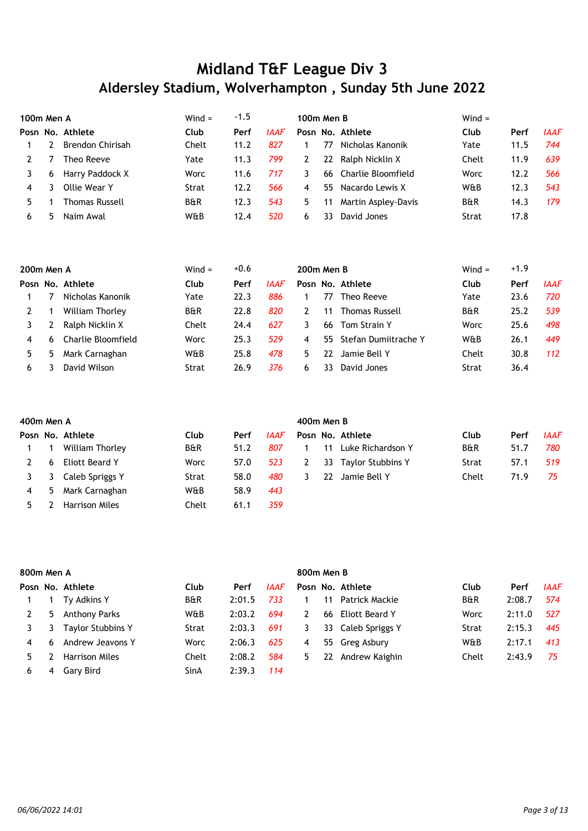| 100m Men A |   |                         | $Wind =$       | -1.5 |      | 100m Men B       |                     | Wind $=$       |      |             |
|------------|---|-------------------------|----------------|------|------|------------------|---------------------|----------------|------|-------------|
|            |   | Posn No. Athlete        | Club           | Perf | IAAF | Posn No. Athlete |                     | Club           | Perf | <b>IAAF</b> |
|            |   | <b>Brendon Chirisah</b> | Chelt          | 11.2 | 827  | 77               | Nicholas Kanonik    | Yate           | 11.5 | 744         |
|            |   | Theo Reeve              | Yate           | 11.3 | 799  | 22               | Ralph Nicklin X     | Chelt          | 11.9 | 639         |
|            | 6 | Harry Paddock X         | <b>Worc</b>    | 11.6 | 717  | 66.<br>3         | Charlie Bloomfield  | Worc           | 12.2 | 566         |
| 4          |   | Ollie Wear Y            | Strat          | 12.2 | 566  | 55.<br>4         | Nacardo Lewis X     | W&B            | 12.3 | 543         |
| 5.         |   | Thomas Russell          | <b>B&amp;R</b> | 12.3 | 543  | 5.<br>11         | Martin Aspley-Davis | <b>B&amp;R</b> | 14.3 | 179         |
| 6          | ካ | Naim Awal               | W&B            | 12.4 | 520  | 33<br>6.         | David Jones         | Strat          | 17.8 |             |

| 200m Men A |              |                    | Wind $=$       | $+0.6$ |      | 200m Men B |    |                       | $Wind =$       | $+1.9$ |             |
|------------|--------------|--------------------|----------------|--------|------|------------|----|-----------------------|----------------|--------|-------------|
|            |              | Posn No. Athlete   | Club           | Perf   | IAAF |            |    | Posn No. Athlete      | Club           | Perf   | <b>IAAF</b> |
|            |              | Nicholas Kanonik   | Yate           | 22.3   | 886  |            | 77 | Theo Reeve            | Yate           | 23.6   | 720         |
|            |              | William Thorley    | <b>B&amp;R</b> | 22.8   | 820  |            | 11 | <b>Thomas Russell</b> | <b>B&amp;R</b> | 25.2   | 539         |
|            |              | Ralph Nicklin X    | Chelt          | 24.4   | 627  |            | 66 | Tom Strain Y          | Worc           | 25.6   | 498         |
| 4          | <sub>6</sub> | Charlie Bloomfield | Worc           | 25.3   | 529  | 4          | 55 | Stefan Dumiitrache Y  | W&B            | 26.1   | 449         |
|            | 5            | Mark Carnaghan     | W&B            | 25.8   | 478  | 5.         | 22 | Jamie Bell Y          | Chelt          | 30.8   | 112         |
| 6          |              | David Wilson       | Strat          | 26.9   | 376  | h          | 33 | David Jones           | Strat          | 36.4   |             |

|   | 400m Men A |                       |                |      |             |  | 400m Men B |                   |                |      |             |  |  |  |  |
|---|------------|-----------------------|----------------|------|-------------|--|------------|-------------------|----------------|------|-------------|--|--|--|--|
|   |            | Posn No. Athlete      | Club           | Perf | <b>IAAF</b> |  |            | Posn No. Athlete  | Club           | Perf | <b>IAAF</b> |  |  |  |  |
|   |            | William Thorley       | <b>B&amp;R</b> | 51.2 | 807         |  | 11         | Luke Richardson Y | <b>B&amp;R</b> | 51.7 | 780         |  |  |  |  |
|   | 6          | Eliott Beard Y        | Worc           | 57.0 | 523         |  | 33         | Taylor Stubbins Y | Strat          | 57.1 | 519         |  |  |  |  |
|   | 3          | Caleb Spriggs Y       | Strat          | 58.0 | 480         |  | 22         | Jamie Bell Y      | Chelt          | 71.9 | 75          |  |  |  |  |
| 4 | 5          | Mark Carnaghan        | W&B            | 58.9 | 443         |  |            |                   |                |      |             |  |  |  |  |
|   |            | <b>Harrison Miles</b> | Chelt          | 61.1 | 359         |  |            |                   |                |      |             |  |  |  |  |

|    | 800m Men A |                          |                |        |             | 800m Men B |    |                    |                |        |             |  |  |  |
|----|------------|--------------------------|----------------|--------|-------------|------------|----|--------------------|----------------|--------|-------------|--|--|--|
|    |            | Posn No. Athlete         | Club           | Perf   | <b>IAAF</b> |            |    | Posn No. Athlete   | Club           | Perf   | <b>IAAF</b> |  |  |  |
|    |            | Ty Adkins Y              | <b>B&amp;R</b> | 2:01.5 | 733         |            | 11 | Patrick Mackie     | <b>B&amp;R</b> | 2:08.7 | 574         |  |  |  |
|    | 5.         | <b>Anthony Parks</b>     | W&B            | 2:03.2 | 694         | 2          | 66 | Eliott Beard Y     | Worc           | 2:11.0 | 527         |  |  |  |
|    |            | <b>Taylor Stubbins Y</b> | Strat          | 2:03.3 | 691         | 3          |    | 33 Caleb Spriggs Y | Strat          | 2:15.3 | 445         |  |  |  |
| 4  | 6          | Andrew Jeavons Y         | Worc           | 2:06.3 | 625         | 4          |    | 55 Greg Asbury     | W&B            | 2:17.1 | 413         |  |  |  |
| 5. |            | <b>Harrison Miles</b>    | Chelt          | 2:08.2 | 584         | 5          | 22 | Andrew Kaighin     | Chelt          | 2:43.9 | 75          |  |  |  |
| 6  | 4          | Gary Bird                | SinA           | 2:39.3 | 114         |            |    |                    |                |        |             |  |  |  |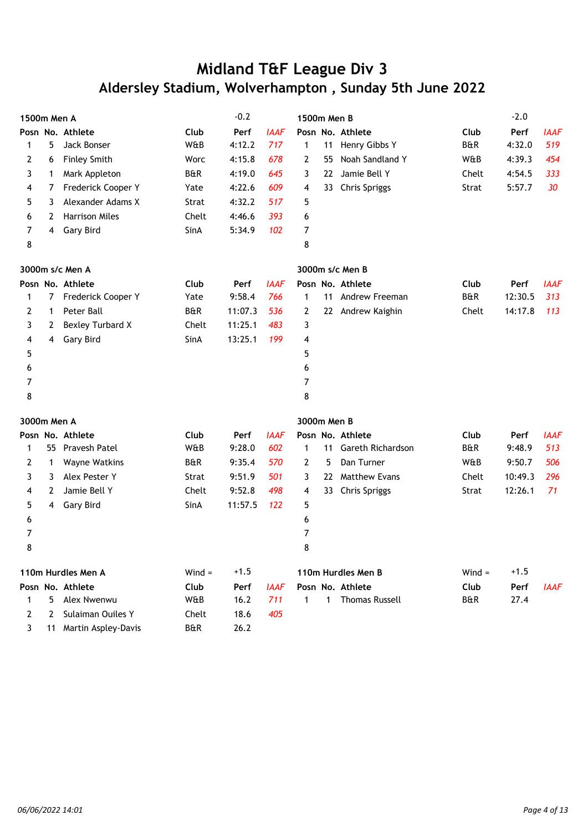| 1500m Men A |    |                        |                | $-0.2$  |             | 1500m Men B |     |                       |                | $-2.0$  |             |
|-------------|----|------------------------|----------------|---------|-------------|-------------|-----|-----------------------|----------------|---------|-------------|
|             |    | Posn No. Athlete       | Club           | Perf    | <b>IAAF</b> |             |     | Posn No. Athlete      | Club           | Perf    | <b>IAAF</b> |
| 1           | 5  | Jack Bonser            | W&B            | 4:12.2  | 717         | 1           | 11  | Henry Gibbs Y         | <b>B&amp;R</b> | 4:32.0  | 519         |
| 2           | 6  | <b>Finley Smith</b>    | Worc           | 4:15.8  | 678         | 2           | 55  | Noah Sandland Y       | W&B            | 4:39.3  | 454         |
| 3           | 1  | Mark Appleton          | <b>B&amp;R</b> | 4:19.0  | 645         | 3           | 22. | Jamie Bell Y          | Chelt          | 4:54.5  | 333         |
| 4           | 7  | Frederick Cooper Y     | Yate           | 4:22.6  | 609         | 4           | 33. | <b>Chris Spriggs</b>  | Strat          | 5:57.7  | 30          |
| 5           | 3  | Alexander Adams X      | Strat          | 4:32.2  | 517         | 5           |     |                       |                |         |             |
| 6           | 2  | <b>Harrison Miles</b>  | Chelt          | 4:46.6  | 393         | 6           |     |                       |                |         |             |
| 7           | 4  | Gary Bird              | SinA           | 5:34.9  | 102         | 7           |     |                       |                |         |             |
| 8           |    |                        |                |         |             | 8           |     |                       |                |         |             |
|             |    | 3000m s/c Men A        |                |         |             |             |     | 3000m s/c Men B       |                |         |             |
|             |    | Posn No. Athlete       | Club           | Perf    | <b>IAAF</b> |             |     | Posn No. Athlete      | Club           | Perf    | <b>IAAF</b> |
| 1           | 7  | Frederick Cooper Y     | Yate           | 9:58.4  | 766         | 1           |     | 11 Andrew Freeman     | <b>B&amp;R</b> | 12:30.5 | 313         |
| 2           | 1  | Peter Ball             | B&R            | 11:07.3 | 536         | 2           |     | 22 Andrew Kaighin     | Chelt          | 14:17.8 | 113         |
| 3           | 2  | Bexley Turbard X       | Chelt          | 11:25.1 | 483         | 3           |     |                       |                |         |             |
| 4           | 4  | Gary Bird              | SinA           | 13:25.1 | 199         | 4           |     |                       |                |         |             |
| 5           |    |                        |                |         |             | 5           |     |                       |                |         |             |
| 6           |    |                        |                |         |             | 6           |     |                       |                |         |             |
| 7           |    |                        |                |         |             | 7           |     |                       |                |         |             |
| 8           |    |                        |                |         |             | 8           |     |                       |                |         |             |
| 3000m Men A |    |                        |                |         |             | 3000m Men B |     |                       |                |         |             |
|             |    | Posn No. Athlete       | Club           | Perf    | <b>IAAF</b> |             |     | Posn No. Athlete      | Club           | Perf    | <b>IAAF</b> |
| 1           | 55 | Pravesh Patel          | W&B            | 9:28.0  | 602         | 1           | 11  | Gareth Richardson     | <b>B&amp;R</b> | 9:48.9  | 513         |
| 2           | 1  | Wayne Watkins          | B&R            | 9:35.4  | 570         | 2           | 5   | Dan Turner            | W&B            | 9:50.7  | 506         |
| 3           | 3  | Alex Pester Y          | Strat          | 9:51.9  | 501         | 3           | 22. | <b>Matthew Evans</b>  | Chelt          | 10:49.3 | 296         |
| 4           | 2  | Jamie Bell Y           | Chelt          | 9:52.8  | 498         | 4           | 33  | <b>Chris Spriggs</b>  | Strat          | 12:26.1 | 71          |
| 5           | 4  | Gary Bird              | SinA           | 11:57.5 | 122         | 5           |     |                       |                |         |             |
| 6           |    |                        |                |         |             | 6           |     |                       |                |         |             |
| 7           |    |                        |                |         |             | 7           |     |                       |                |         |             |
| 8           |    |                        |                |         |             | 8           |     |                       |                |         |             |
|             |    | 110m Hurdles Men A     | $Wind =$       | $+1.5$  |             |             |     | 110m Hurdles Men B    | $Wind =$       | $+1.5$  |             |
|             |    | Posn No. Athlete       | Club           | Perf    | <b>IAAF</b> |             |     | Posn No. Athlete      | Club           | Perf    | <b>IAAF</b> |
| 1           | 5  | Alex Nwenwu            | W&B            | 16.2    | 711         | 1           | 1   | <b>Thomas Russell</b> | <b>B&amp;R</b> | 27.4    |             |
| 2           | 2  | Sulaiman Ouiles Y      | Chelt          | 18.6    | 405         |             |     |                       |                |         |             |
| 3           |    | 11 Martin Aspley-Davis | B&R            | 26.2    |             |             |     |                       |                |         |             |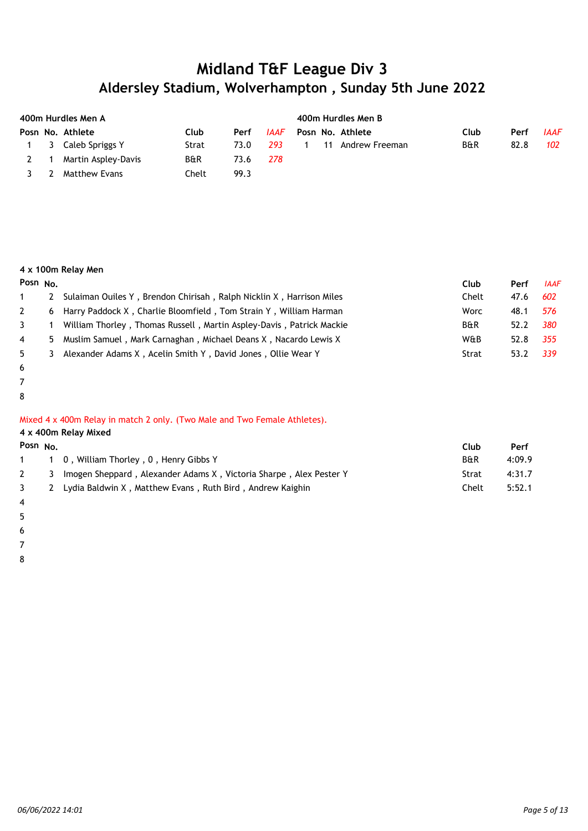|     | 400m Hurdles Men A |                     |                |      |      | 400m Hurdles Men B |    |                  |                |      |             |  |  |
|-----|--------------------|---------------------|----------------|------|------|--------------------|----|------------------|----------------|------|-------------|--|--|
|     |                    | Posn No. Athlete    | Club           | Perf | IAAF |                    |    | Posn No. Athlete | Club           | Perf | <b>IAAF</b> |  |  |
|     |                    | 1 3 Caleb Spriggs Y | Strat          | 73.0 | 293  |                    | 11 | Andrew Freeman   | <b>B&amp;R</b> | 82.8 | 102         |  |  |
| 2 1 |                    | Martin Aspley-Davis | <b>B&amp;R</b> | 73.6 | 278  |                    |    |                  |                |      |             |  |  |
| 3   | -2                 | Matthew Evans       | Chelt          | 99.3 |      |                    |    |                  |                |      |             |  |  |

#### **4 x 100m Relay Men**

| Posn $No.$     |   |                                                                        | Club  | Perf | <b>IAAF</b> |
|----------------|---|------------------------------------------------------------------------|-------|------|-------------|
|                |   | Sulaiman Ouiles Y, Brendon Chirisah, Ralph Nicklin X, Harrison Miles   | Chelt | 47.6 | 602         |
| 2              |   | 6 Harry Paddock X, Charlie Bloomfield, Tom Strain Y, William Harman    | Worc  | 48.1 | 576         |
| $\mathbf{3}$   |   | 1 William Thorley, Thomas Russell, Martin Aspley-Davis, Patrick Mackie | B&R   | 52.2 | 380         |
| $\overline{4}$ |   | 5 Muslim Samuel, Mark Carnaghan, Michael Deans X, Nacardo Lewis X      | W&B   | 52.8 | 355         |
| 5              | 3 | Alexander Adams X, Acelin Smith Y, David Jones, Ollie Wear Y           | Strat | 53.2 | - 339       |
|                |   |                                                                        |       |      |             |

- 6
- 7
- 8

#### Mixed 4 x 400m Relay in match 2 only. (Two Male and Two Female Athletes).

|                            | 4 x 400m Relay Mixed |                                                                    |                |        |  |  |  |  |  |
|----------------------------|----------------------|--------------------------------------------------------------------|----------------|--------|--|--|--|--|--|
| Posn No.                   |                      |                                                                    | Club           | Perf   |  |  |  |  |  |
| 1 $\overline{\phantom{a}}$ |                      | 1 0, William Thorley, 0, Henry Gibbs Y                             | <b>B&amp;R</b> | 4:09.9 |  |  |  |  |  |
|                            | 3                    | Imogen Sheppard, Alexander Adams X, Victoria Sharpe, Alex Pester Y | Strat          | 4:31.7 |  |  |  |  |  |
|                            | 2                    | Lydia Baldwin X, Matthew Evans, Ruth Bird, Andrew Kaighin          | Chelt          | 5:52.1 |  |  |  |  |  |

- 4
- 5

6

7 8

*06/06/2022 14:01 Page 5 of 13*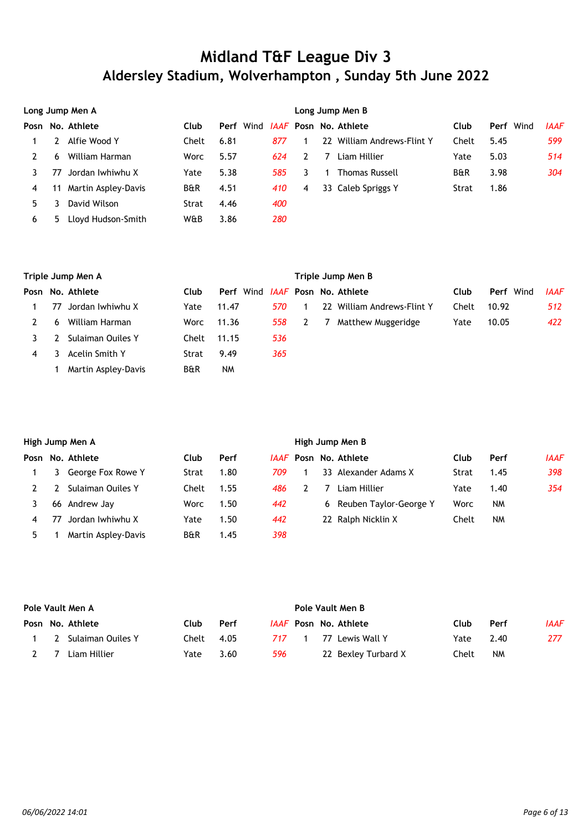|    | Long Jump Men A |                     |                |      |  |     | Long Jump Men B |  |                                   |                |           |             |  |  |
|----|-----------------|---------------------|----------------|------|--|-----|-----------------|--|-----------------------------------|----------------|-----------|-------------|--|--|
|    |                 | Posn No. Athlete    | Club           | Perf |  |     |                 |  | Wind <i>JAAF</i> Posn No. Athlete | Club           | Perf Wind | <b>IAAF</b> |  |  |
|    |                 | Alfie Wood Y        | Chelt          | 6.81 |  | 877 |                 |  | 22 William Andrews-Flint Y        | Chelt          | 5.45      | 599         |  |  |
|    | 6               | William Harman      | Worc           | 5.57 |  | 624 |                 |  | Liam Hillier                      | Yate           | 5.03      | 514         |  |  |
|    | 77              | Jordan Iwhiwhu X    | Yate           | 5.38 |  | 585 | 3.              |  | <b>Thomas Russell</b>             | <b>B&amp;R</b> | 3.98      | 304         |  |  |
| 4  | 11              | Martin Aspley-Davis | <b>B&amp;R</b> | 4.51 |  | 410 | 4               |  | 33 Caleb Spriggs Y                | Strat          | 1.86      |             |  |  |
| 5. |                 | David Wilson        | Strat          | 4.46 |  | 400 |                 |  |                                   |                |           |             |  |  |
| 6  | 5               | Lloyd Hudson-Smith  | W&B            | 3.86 |  | 280 |                 |  |                                   |                |           |             |  |  |

|   | Triple Jump Men A |                     |       |           |     | Triple Jump Men B |  |                                   |       |                  |             |  |  |
|---|-------------------|---------------------|-------|-----------|-----|-------------------|--|-----------------------------------|-------|------------------|-------------|--|--|
|   |                   | Posn No. Athlete    | Club  | Perf      |     |                   |  | Wind <i>IAAF</i> Posn No. Athlete | Club  | <b>Perf</b> Wind | <b>IAAF</b> |  |  |
|   | 77                | Jordan Iwhiwhu X    | Yate  | 11.47     | 570 |                   |  | 22 William Andrews-Flint Y        | Chelt | 10.92            | 512         |  |  |
|   | 6                 | William Harman      | Worc  | 11.36     | 558 |                   |  | Matthew Muggeridge                | Yate  | 10.05            | 422         |  |  |
|   |                   | Sulaiman Ouiles Y   | Chelt | 11.15     | 536 |                   |  |                                   |       |                  |             |  |  |
| 4 |                   | Acelin Smith Y      | Strat | 9.49      | 365 |                   |  |                                   |       |                  |             |  |  |
|   |                   | Martin Aspley-Davis | B&R   | <b>NM</b> |     |                   |  |                                   |       |                  |             |  |  |

|   | High Jump Men A |                     |       |      | High Jump Men B |  |  |                              |       |      |             |  |
|---|-----------------|---------------------|-------|------|-----------------|--|--|------------------------------|-------|------|-------------|--|
|   |                 | Posn No. Athlete    | Club  | Perf |                 |  |  | <i>IAAF</i> Posn No. Athlete | Club  | Perf | <b>IAAF</b> |  |
|   |                 | George Fox Rowe Y   | Strat | 1.80 | 709.            |  |  | 33 Alexander Adams X         | Strat | 1.45 | 398         |  |
|   |                 | Sulaiman Ouiles Y   | Chelt | 1.55 | 486             |  |  | Liam Hillier                 | Yate  | 1.40 | 354         |  |
|   | 66              | Andrew Jay          | Worc  | 1.50 | 442             |  |  | 6 Reuben Taylor-George Y     | Worc  | NM   |             |  |
| 4 | 77              | Jordan Iwhiwhu X    | Yate  | 1.50 | 442             |  |  | 22 Ralph Nicklin X           | Chelt | NM   |             |  |
| 5 |                 | Martin Aspley-Davis | B&R   | 1.45 | 398             |  |  |                              |       |      |             |  |

|     | Pole Vault Men A |                       |              |      |       | Pole Vault Men B |  |                              |       |      |      |  |  |
|-----|------------------|-----------------------|--------------|------|-------|------------------|--|------------------------------|-------|------|------|--|--|
|     |                  | Posn No. Athlete      | Club         | Perf |       |                  |  | <i>IAAF</i> Posn No. Athlete | Club  | Perf | IAAF |  |  |
|     |                  | 1 2 Sulaiman Ouiles Y | $Chelt$ 4.05 |      | 717 1 |                  |  | 77 Lewis Wall Y              | Yate  | 2.40 | 277  |  |  |
| 2 7 |                  | Liam Hillier          | Yate         | 3.60 | 596   |                  |  | 22 Bexley Turbard X          | Chelt | NM   |      |  |  |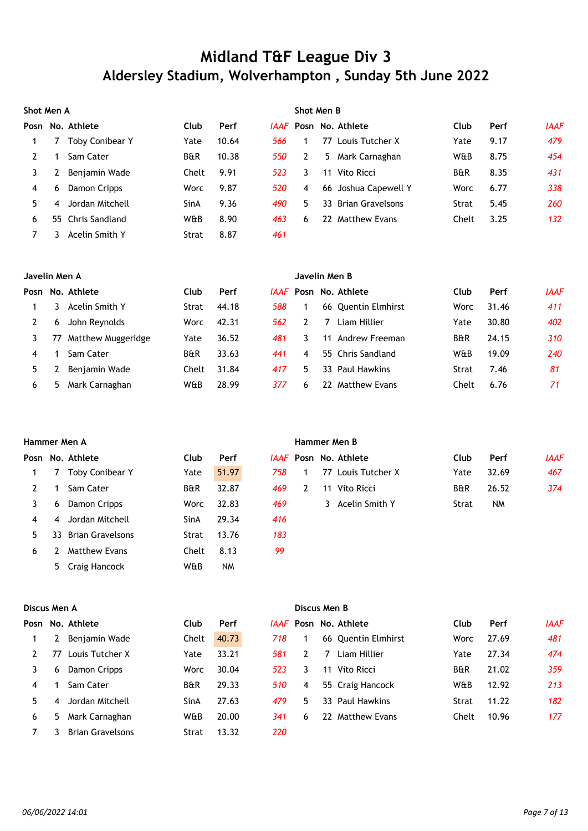|      | Shot Men A |                   |                |       |      | Shot Men B |    |                      |                |      |             |  |  |
|------|------------|-------------------|----------------|-------|------|------------|----|----------------------|----------------|------|-------------|--|--|
| Posn |            | No. Athlete       | Club           | Perf  | IAAF |            |    | Posn No. Athlete     | Club           | Perf | <b>IAAF</b> |  |  |
|      |            | Toby Conibear Y   | Yate           | 10.64 | 566  |            | 77 | Louis Tutcher X      | Yate           | 9.17 | 479         |  |  |
|      |            | Sam Cater         | <b>B&amp;R</b> | 10.38 | 550  | 2          |    | 5 Mark Carnaghan     | W&B            | 8.75 | 454         |  |  |
|      |            | Benjamin Wade     | Chelt          | 9.91  | 523  | 3.         | 11 | Vito Ricci           | <b>B&amp;R</b> | 8.35 | 431         |  |  |
| 4    | 6          | Damon Cripps      | Worc           | 9.87  | 520  | 4          |    | 66 Joshua Capewell Y | Worc           | 6.77 | 338         |  |  |
| 5.   | 4          | Jordan Mitchell   | SinA           | 9.36  | 490  | 5.         |    | 33 Brian Gravelsons  | Strat          | 5.45 | 260         |  |  |
| 6    |            | 55 Chris Sandland | W&B            | 8.90  | 463  | 6          | 22 | <b>Matthew Evans</b> | Chelt          | 3.25 | 132         |  |  |
|      |            | Acelin Smith Y    | Strat          | 8.87  | 461  |            |    |                      |                |      |             |  |  |

|    | Javelin Men A |                    |                |       |      | Javelin Men B |     |                      |       |       |             |  |  |
|----|---------------|--------------------|----------------|-------|------|---------------|-----|----------------------|-------|-------|-------------|--|--|
|    |               | Posn No. Athlete   | Club           | Perf  | IAAF |               |     | Posn No. Athlete     | Club  | Perf  | <b>IAAF</b> |  |  |
|    |               | Acelin Smith Y     | Strat          | 44.18 | 588  |               |     | 66 Quentin Elmhirst  | Worc  | 31.46 | 411         |  |  |
|    | 6             | John Reynolds      | Worc           | 42.31 | 562  |               |     | Liam Hillier         | Yate  | 30.80 | 402         |  |  |
|    | 77            | Matthew Muggeridge | Yate           | 36.52 | 481  |               | 11  | Andrew Freeman       | B&R   | 24.15 | 310         |  |  |
| 4  |               | Sam Cater          | <b>B&amp;R</b> | 33.63 | 441  | 4             |     | 55 Chris Sandland    | W&B   | 19.09 | 240         |  |  |
| 5. |               | Benjamin Wade      | Chelt          | 31.84 | 417  | 5.            |     | 33 Paul Hawkins      | Strat | 7.46  | 81          |  |  |
| 6  | 5             | Mark Carnaghan     | W&B            | 28.99 | 377  | 6             | 22. | <b>Matthew Evans</b> | Chelt | 6.76  | 71          |  |  |

|    | Hammer Men A |                         |                |           |     | Hammer Men B |    |                              |                |           |             |  |  |
|----|--------------|-------------------------|----------------|-----------|-----|--------------|----|------------------------------|----------------|-----------|-------------|--|--|
|    |              | Posn No. Athlete        | Club           | Perf      |     |              |    | <i>IAAF</i> Posn No. Athlete | Club           | Perf      | <b>IAAF</b> |  |  |
|    |              | <b>Toby Conibear Y</b>  | Yate           | 51.97     | 758 |              | 77 | Louis Tutcher X              | Yate           | 32.69     | 467         |  |  |
| 2  |              | Sam Cater               | <b>B&amp;R</b> | 32.87     | 469 | 2            | 11 | Vito Ricci                   | <b>B&amp;R</b> | 26.52     | 374         |  |  |
| 3  | 6            | Damon Cripps            | Worc           | 32.83     | 469 |              |    | 3 Acelin Smith Y             | Strat          | <b>NM</b> |             |  |  |
| 4  | 4            | Jordan Mitchell         | SinA           | 29.34     | 416 |              |    |                              |                |           |             |  |  |
| 5. | 33.          | <b>Brian Gravelsons</b> | Strat          | 13.76     | 183 |              |    |                              |                |           |             |  |  |
| 6  |              | <b>Matthew Evans</b>    | Chelt          | 8.13      | 99  |              |    |                              |                |           |             |  |  |
|    |              | 5 Craig Hancock         | W&B            | <b>NM</b> |     |              |    |                              |                |           |             |  |  |

|    | Discus Men A |                         |                |       |     |               | Discus Men B |                              |                |       |             |  |  |  |
|----|--------------|-------------------------|----------------|-------|-----|---------------|--------------|------------------------------|----------------|-------|-------------|--|--|--|
|    |              | Posn No. Athlete        | Club           | Perf  |     |               |              | <i>IAAF</i> Posn No. Athlete | Club           | Perf  | <b>IAAF</b> |  |  |  |
|    |              | Benjamin Wade           | Chelt          | 40.73 | 718 |               |              | 66 Quentin Elmhirst          | Worc           | 27.69 | 481         |  |  |  |
|    | 77           | Louis Tutcher X         | Yate           | 33.21 | 581 | $\mathcal{P}$ | 7            | Liam Hillier                 | Yate           | 27.34 | 474         |  |  |  |
| 3  | 6            | Damon Cripps            | Worc           | 30.04 | 523 | 3.            | 11           | Vito Ricci                   | <b>B&amp;R</b> | 21.02 | 359         |  |  |  |
| 4  |              | Sam Cater               | <b>B&amp;R</b> | 29.33 | 510 | 4             |              | 55 Craig Hancock             | W&B            | 12.92 | 213         |  |  |  |
| 5. | 4            | Jordan Mitchell         | SinA           | 27.63 | 479 | 5.            |              | 33 Paul Hawkins              | Strat          | 11.22 | 182         |  |  |  |
| 6  | 5.           | Mark Carnaghan          | W&B            | 20.00 | 341 | 6             | 22           | <b>Matthew Evans</b>         | Chelt          | 10.96 | 177         |  |  |  |
|    | 3            | <b>Brian Gravelsons</b> | Strat          | 13.32 | 220 |               |              |                              |                |       |             |  |  |  |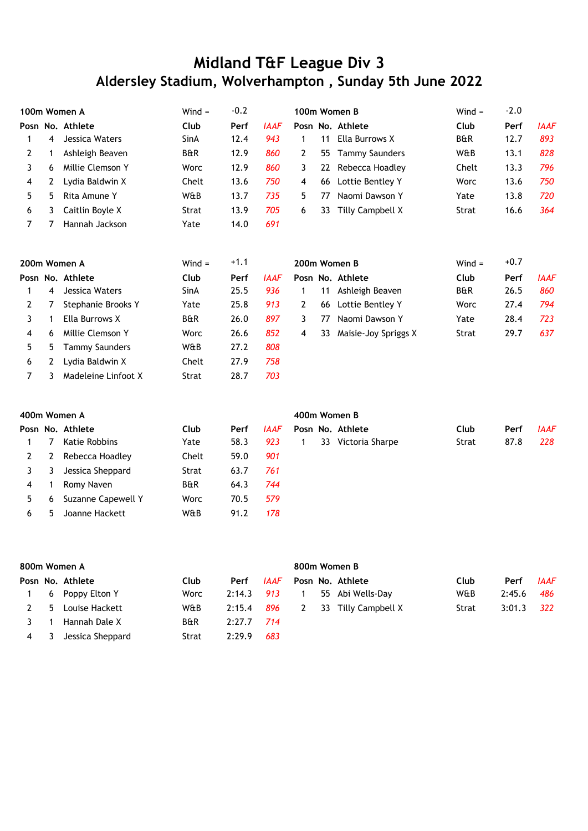|   |              | 100m Women A     | $Wind =$       | $-0.2$ |             |    |    | 100m Women B     | $Wind =$       | $-2.0$ |             |
|---|--------------|------------------|----------------|--------|-------------|----|----|------------------|----------------|--------|-------------|
|   |              | Posn No. Athlete | Club           | Perf   | <b>IAAF</b> |    |    | Posn No. Athlete | Club           | Perf   | <b>IAAF</b> |
|   | 4            | Jessica Waters   | SinA           | 12.4   | 943         |    | 11 | Ella Burrows X   | <b>B&amp;R</b> | 12.7   | 893         |
|   |              | Ashleigh Beaven  | <b>B&amp;R</b> | 12.9   | 860         |    | 55 | Tammy Saunders   | W&B            | 13.1   | 828         |
|   | <sub>6</sub> | Millie Clemson Y | <b>Worc</b>    | 12.9   | 860         | 3  | 22 | Rebecca Hoadley  | Chelt          | 13.3   | 796         |
| 4 |              | Lydia Baldwin X  | Chelt          | 13.6   | 750         | 4  | 66 | Lottie Bentley Y | Worc           | 13.6   | 750         |
| 5 | 5            | Rita Amune Y     | W&B            | 13.7   | 735         | 5. | 77 | Naomi Dawson Y   | Yate           | 13.8   | 720         |
| 6 |              | Caitlin Boyle X  | Strat          | 13.9   | 705         | 6  | 33 | Tilly Campbell X | Strat          | 16.6   | 364         |
|   |              | Hannah Jackson   | Yate           | 14.0   | 691         |    |    |                  |                |        |             |

|    |   | 200m Women A        | $Wind =$       | $+1.1$ |             | 200m Women B |                      | $Wind =$       | $+0.7$ |             |
|----|---|---------------------|----------------|--------|-------------|--------------|----------------------|----------------|--------|-------------|
|    |   | Posn No. Athlete    | Club           | Perf   | <b>IAAF</b> |              | Posn No. Athlete     | Club           | Perf   | <b>IAAF</b> |
|    | 4 | Jessica Waters      | SinA           | 25.5   | 936         | 11           | Ashleigh Beaven      | <b>B&amp;R</b> | 26.5   | 860         |
|    |   | Stephanie Brooks Y  | Yate           | 25.8   | 913         | 66           | Lottie Bentley Y     | Worc           | 27.4   | 794         |
|    |   | Ella Burrows X      | <b>B&amp;R</b> | 26.0   | 897         | 77           | Naomi Dawson Y       | Yate           | 28.4   | 723         |
| 4  | 6 | Millie Clemson Y    | Worc           | 26.6   | 852         | 33<br>4      | Maisie-Joy Spriggs X | Strat          | 29.7   | 637         |
| 5. | 5 | Tammy Saunders      | W&B            | 27.2   | 808         |              |                      |                |        |             |
| 6  |   | Lydia Baldwin X     | Chelt          | 27.9   | 758         |              |                      |                |        |             |
|    |   | Madeleine Linfoot X | Strat          | 28.7   | 703         |              |                      |                |        |             |

|    |   | 400m Women A       |                |      |             | 400m Women B                           |             |  |  |  |  |  |  |  |
|----|---|--------------------|----------------|------|-------------|----------------------------------------|-------------|--|--|--|--|--|--|--|
|    |   | Posn No. Athlete   | Club           | Perf | <b>IAAF</b> | Posn No. Athlete<br>Club<br>Perf       | <b>IAAF</b> |  |  |  |  |  |  |  |
|    | 7 | Katie Robbins      | Yate           | 58.3 | 923         | 87.8<br>33<br>Strat<br>Victoria Sharpe | 228         |  |  |  |  |  |  |  |
| 2  | 2 | Rebecca Hoadley    | Chelt          | 59.0 | 901         |                                        |             |  |  |  |  |  |  |  |
| 3  |   | Jessica Sheppard   | Strat          | 63.7 | 761         |                                        |             |  |  |  |  |  |  |  |
| 4  |   | Romy Naven         | <b>B&amp;R</b> | 64.3 | 744         |                                        |             |  |  |  |  |  |  |  |
| 5. | 6 | Suzanne Capewell Y | Worc           | 70.5 | 579         |                                        |             |  |  |  |  |  |  |  |
| 6  |   | Joanne Hackett     | W&B            | 91.2 | 178         |                                        |             |  |  |  |  |  |  |  |

|              | 800m Women A            |                   |                |              |      |  | 800m Women B |                       |       |        |             |  |  |  |
|--------------|-------------------------|-------------------|----------------|--------------|------|--|--------------|-----------------------|-------|--------|-------------|--|--|--|
|              |                         | Posn No. Athlete  | Club           | Perf         | IAAF |  |              | Posn No. Athlete      | Club  | Perf   | <b>IAAF</b> |  |  |  |
|              |                         | 1 6 Poppy Elton Y | Worc           | 2:14.3       | 913  |  |              | 55 Abi Wells-Day      | W&B   | 2:45.6 | 486         |  |  |  |
| $\mathbf{2}$ | - 5                     | Louise Hackett    | W&B            | 2:15.4       | 896  |  |              | 2 33 Tilly Campbell X | Strat | 3:01.3 | 322         |  |  |  |
|              |                         | Hannah Dale X     | <b>B&amp;R</b> | $2:27.7$ 714 |      |  |              |                       |       |        |             |  |  |  |
| 4            | $\overline{\mathbf{3}}$ | Jessica Sheppard  | Strat          | 2:29.9       | 683  |  |              |                       |       |        |             |  |  |  |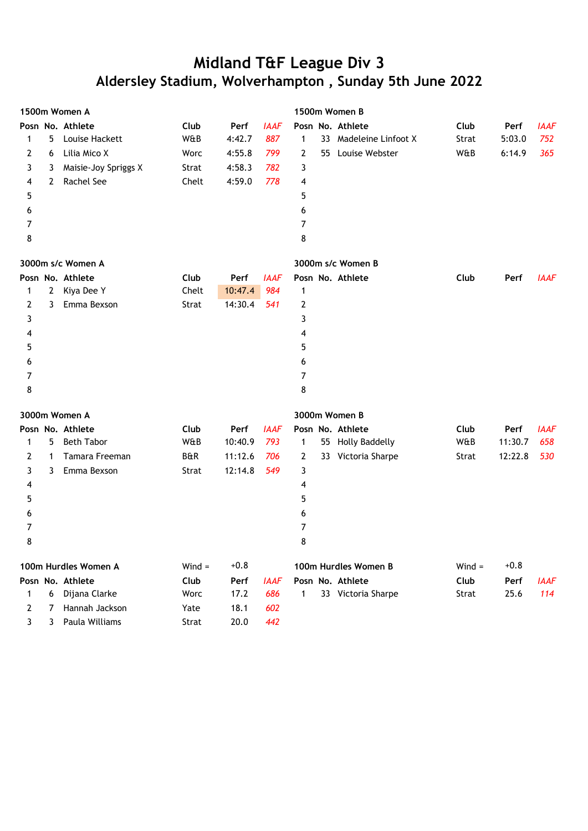|   | 1500m Women A         |                      |          |         |             | 1500m Women B  |    |                        |          |         |             |
|---|-----------------------|----------------------|----------|---------|-------------|----------------|----|------------------------|----------|---------|-------------|
|   |                       | Posn No. Athlete     | Club     | Perf    | <b>IAAF</b> |                |    | Posn No. Athlete       | Club     | Perf    | <b>IAAF</b> |
| 1 | 5                     | Louise Hackett       | W&B      | 4:42.7  | 887         | $\mathbf 1$    |    | 33 Madeleine Linfoot X | Strat    | 5:03.0  | 752         |
| 2 | 6                     | Lilia Mico X         | Worc     | 4:55.8  | 799         | 2              | 55 | Louise Webster         | W&B      | 6:14.9  | 365         |
| 3 | 3                     | Maisie-Joy Spriggs X | Strat    | 4:58.3  | 782         | 3              |    |                        |          |         |             |
| 4 | $\mathbf{2}^{\prime}$ | Rachel See           | Chelt    | 4:59.0  | 778         | 4              |    |                        |          |         |             |
| 5 |                       |                      |          |         |             | 5              |    |                        |          |         |             |
| 6 |                       |                      |          |         |             | 6              |    |                        |          |         |             |
| 7 |                       |                      |          |         |             | $\overline{7}$ |    |                        |          |         |             |
| 8 |                       |                      |          |         |             | 8              |    |                        |          |         |             |
|   |                       | 3000m s/c Women A    |          |         |             |                |    | 3000m s/c Women B      |          |         |             |
|   |                       | Posn No. Athlete     | Club     | Perf    | <b>IAAF</b> |                |    | Posn No. Athlete       | Club     | Perf    | <b>IAAF</b> |
| 1 | $\overline{2}$        | Kiya Dee Y           | Chelt    | 10:47.4 | 984         | 1              |    |                        |          |         |             |
| 2 | 3                     | Emma Bexson          | Strat    | 14:30.4 | 541         | 2              |    |                        |          |         |             |
| 3 |                       |                      |          |         |             | 3              |    |                        |          |         |             |
| 4 |                       |                      |          |         |             | 4              |    |                        |          |         |             |
| 5 |                       |                      |          |         |             | 5              |    |                        |          |         |             |
| 6 |                       |                      |          |         |             | 6              |    |                        |          |         |             |
| 7 |                       |                      |          |         |             | $\overline{7}$ |    |                        |          |         |             |
| 8 |                       |                      |          |         |             | 8              |    |                        |          |         |             |
|   |                       | 3000m Women A        |          |         |             |                |    | 3000m Women B          |          |         |             |
|   |                       | Posn No. Athlete     | Club     | Perf    | <b>IAAF</b> |                |    | Posn No. Athlete       | Club     | Perf    | <b>IAAF</b> |
| 1 | 5                     | <b>Beth Tabor</b>    | W&B      | 10:40.9 | 793         | 1              |    | 55 Holly Baddelly      | W&B      | 11:30.7 | 658         |
| 2 | $\mathbf 1$           | Tamara Freeman       | B&R      | 11:12.6 | 706         | 2              |    | 33 Victoria Sharpe     | Strat    | 12:22.8 | 530         |
| 3 | 3                     | Emma Bexson          | Strat    | 12:14.8 | 549         | 3              |    |                        |          |         |             |
| 4 |                       |                      |          |         |             | 4              |    |                        |          |         |             |
| 5 |                       |                      |          |         |             | 5              |    |                        |          |         |             |
| 6 |                       |                      |          |         |             | 6              |    |                        |          |         |             |
| 7 |                       |                      |          |         |             | 7              |    |                        |          |         |             |
| 8 |                       |                      |          |         |             | 8              |    |                        |          |         |             |
|   |                       | 100m Hurdles Women A | $Wind =$ | $+0.8$  |             |                |    | 100m Hurdles Women B   | $Wind =$ | $+0.8$  |             |
|   |                       | Posn No. Athlete     | Club     | Perf    | <b>IAAF</b> |                |    | Posn No. Athlete       | Club     | Perf    | <b>IAAF</b> |
| 1 | 6                     | Dijana Clarke        | Worc     | 17.2    | 686         | 1              |    | 33 Victoria Sharpe     | Strat    | 25.6    | 114         |
| 2 | 7                     | Hannah Jackson       | Yate     | 18.1    | 602         |                |    |                        |          |         |             |
| 3 | 3                     | Paula Williams       | Strat    | 20.0    | 442         |                |    |                        |          |         |             |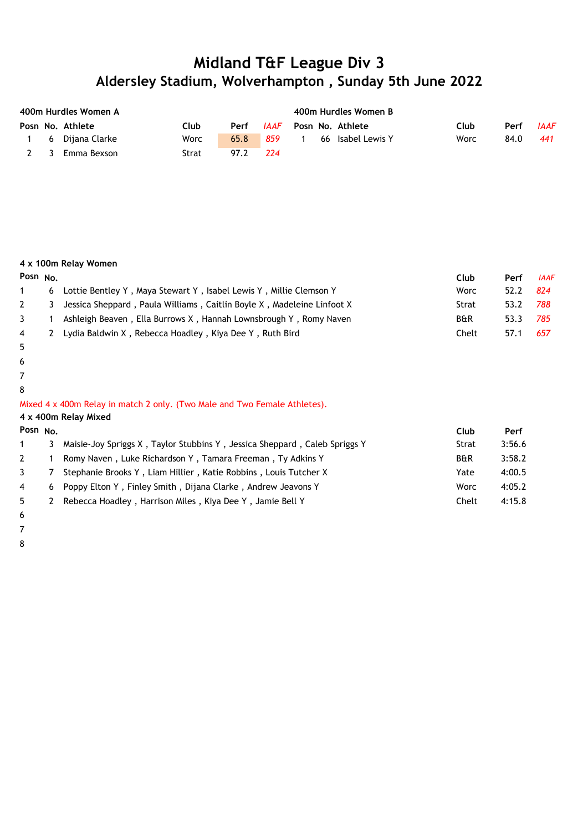|             | 400m Hurdles Women A |       |      | 400m Hurdles Women B |                   |      |      |             |  |  |  |
|-------------|----------------------|-------|------|----------------------|-------------------|------|------|-------------|--|--|--|
|             | Posn No. Athlete     | Club  | Perf | IAAF                 | Posn No. Athlete  | Club | Perf | <b>IAAF</b> |  |  |  |
|             | 6 Dijana Clarke      | Worc  | 65.8 | 859                  | 66 Isabel Lewis Y | Worc | 84.0 | 441         |  |  |  |
| $2 \quad 3$ | Emma Bexson          | Strat | 97.2 | 224                  |                   |      |      |             |  |  |  |

#### **4 x 100m Relay Women**

| Posn $No$      |   |                                                                          | Club           | Perf | <b>IAAF</b> |
|----------------|---|--------------------------------------------------------------------------|----------------|------|-------------|
|                | 6 | Lottie Bentley Y, Maya Stewart Y, Isabel Lewis Y, Millie Clemson Y       | Worc           | 52.2 | 824         |
|                |   | 3 Jessica Sheppard, Paula Williams, Caitlin Boyle X, Madeleine Linfoot X | Strat          | 53.2 | 788         |
| $\mathbf{3}$   |   | Ashleigh Beaven, Ella Burrows X, Hannah Lownsbrough Y, Romy Naven        | <b>B&amp;R</b> | 53.3 | 785         |
| $\overline{4}$ |   | 2 Lydia Baldwin X, Rebecca Hoadley, Kiya Dee Y, Ruth Bird                | Chelt          | 57.1 | 657         |

- 5
- 6
- 7
- 8

Mixed 4 x 400m Relay in match 2 only. (Two Male and Two Female Athletes).

**4 x 400m Relay Mixed**

| Perf          |
|---------------|
| 3:56.6        |
| 3:58.2        |
| 4:00.5        |
| 4:05.2        |
| 4:15.8        |
| Worc<br>Chelt |

6 7

8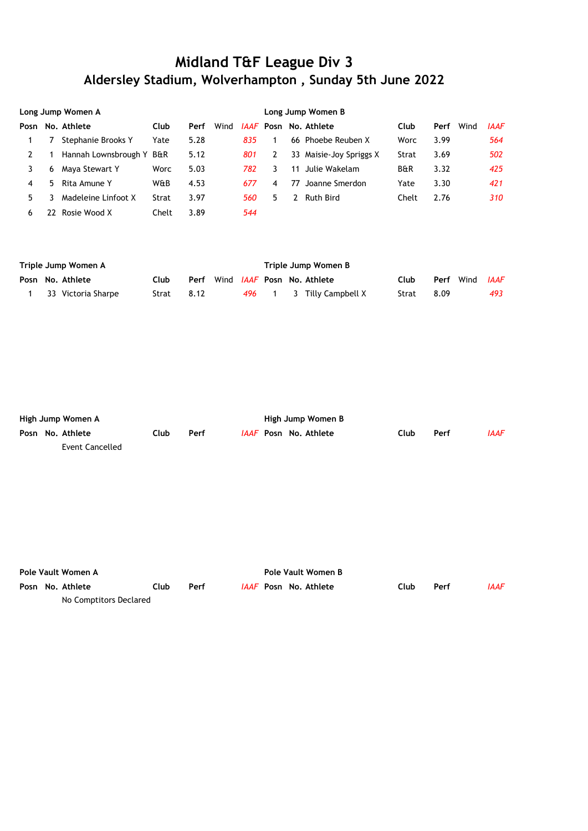|      | Long Jump Women A |                      |                |      |      |     | Long Jump Women B |    |                              |                |      |      |             |  |
|------|-------------------|----------------------|----------------|------|------|-----|-------------------|----|------------------------------|----------------|------|------|-------------|--|
| Posn |                   | No. Athlete          | Club           | Perf | Wind |     |                   |    | <i>IAAF</i> Posn No. Athlete | Club           | Perf | Wind | <b>IAAF</b> |  |
|      |                   | Stephanie Brooks Y   | Yate           | 5.28 |      | 835 |                   |    | 66 Phoebe Reuben X           | Worc           | 3.99 |      | 564         |  |
|      |                   | Hannah Lownsbrough Y | <b>B&amp;R</b> | 5.12 |      | 801 |                   |    | 33 Maisie-Joy Spriggs X      | Strat          | 3.69 |      | 502         |  |
|      | 6                 | Maya Stewart Y       | Worc           | 5.03 |      | 782 | 3                 | 11 | Julie Wakelam                | <b>B&amp;R</b> | 3.32 |      | 425         |  |
| 4    | 5.                | Rita Amune Y         | W&B            | 4.53 |      | 677 | 4                 | 77 | Joanne Smerdon               | Yate           | 3.30 |      | 421         |  |
| 5    |                   | Madeleine Linfoot X  | Strat          | 3.97 |      | 560 | 5.                |    | <b>Ruth Bird</b>             | Chelt          | 2.76 |      | 310         |  |
| 6    | 77                | Rosie Wood X         | Chelt          | 3.89 |      | 544 |                   |    |                              |                |      |      |             |  |

| Triple Jump Women A |                      |            |      |  | Triple Jump Women B |  |                                   |       |      |                              |     |  |
|---------------------|----------------------|------------|------|--|---------------------|--|-----------------------------------|-------|------|------------------------------|-----|--|
|                     | Posn No. Athlete     | Club       | Perf |  |                     |  | Wind <i>IAAF</i> Posn No. Athlete | Club  |      | <b>Perf</b> Wind <i>IAAF</i> |     |  |
|                     | 1 33 Victoria Sharpe | Strat 8.12 |      |  |                     |  | 496 1 3 Tilly Campbell X          | Strat | 8.09 |                              | 493 |  |

| High Jump Women A |                  |       |      |  | High Jump Women B |                              |      |      |      |  |  |
|-------------------|------------------|-------|------|--|-------------------|------------------------------|------|------|------|--|--|
|                   | Posn No. Athlete | ∶lub. | Perf |  |                   | <i>IAAF</i> Posn No. Athlete | Club | Perf | IAAF |  |  |
|                   | Event Cancelled  |       |      |  |                   |                              |      |      |      |  |  |

| Pole Vault Women A |  |                        |      |      |  | Pole Vault Women B |                              |      |      |      |  |  |
|--------------------|--|------------------------|------|------|--|--------------------|------------------------------|------|------|------|--|--|
|                    |  | Posn No. Athlete       | Club | Perf |  |                    | <i>IAAF</i> Posn No. Athlete | Club | Perf | IAAF |  |  |
|                    |  | No Comptitors Declared |      |      |  |                    |                              |      |      |      |  |  |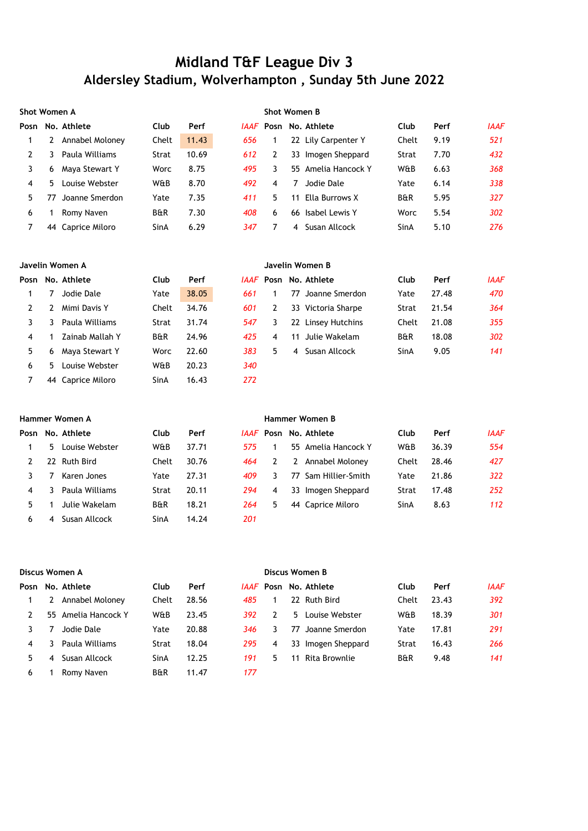| <b>Shot Women A</b> |    |                   |                |       |     | <b>Shot Women B</b> |    |                              |                |      |             |
|---------------------|----|-------------------|----------------|-------|-----|---------------------|----|------------------------------|----------------|------|-------------|
| Posn                |    | No. Athlete       | <b>Club</b>    | Perf  |     |                     |    | <i>IAAF</i> Posn No. Athlete | Club           | Perf | <b>IAAF</b> |
|                     |    | Annabel Moloney   | Chelt          | 11.43 | 656 |                     |    | 22 Lily Carpenter Y          | Chelt          | 9.19 | 521         |
|                     |    | Paula Williams    | Strat          | 10.69 | 612 | 2                   |    | 33 Imogen Sheppard           | Strat          | 7.70 | 432         |
| 3                   | 6  | Maya Stewart Y    | Worc           | 8.75  | 495 | 3.                  |    | 55 Amelia Hancock Y          | W&B            | 6.63 | 368         |
| 4                   | 5. | Louise Webster    | W&B            | 8.70  | 492 | 4                   | 7  | Jodie Dale                   | Yate           | 6.14 | 338         |
| 5.                  |    | Joanne Smerdon    | Yate           | 7.35  | 411 | 5.                  | 11 | Ella Burrows X               | <b>B&amp;R</b> | 5.95 | 327         |
| 6                   |    | Romy Naven        | <b>B&amp;R</b> | 7.30  | 408 | 6                   |    | 66 Isabel Lewis Y            | Worc           | 5.54 | 302         |
|                     |    | 44 Caprice Miloro | SinA           | 6.29  | 347 |                     | 4  | Susan Allcock                | SinA           | 5.10 | 276         |
|                     |    |                   |                |       |     |                     |    |                              |                |      |             |

#### **Javelin Women A Javelin Women B**

|    |    | Posn No. Athlete  | <b>Club</b>    | Perf  |     |    |    | <i>IAAF</i> Posn No. Athlete | Club           | Perf  | <b>IAAF</b> |
|----|----|-------------------|----------------|-------|-----|----|----|------------------------------|----------------|-------|-------------|
|    |    | Jodie Dale        | Yate           | 38.05 | 661 |    | 77 | Joanne Smerdon               | Yate           | 27.48 | 470         |
|    |    | Mimi Davis Y      | Chelt          | 34.76 | 601 |    |    | 33 Victoria Sharpe           | Strat          | 21.54 | 364         |
|    |    | Paula Williams    | Strat          | 31.74 | 547 | 3  |    | 22 Linsey Hutchins           | Chelt          | 21.08 | 355         |
| 4  |    | Zainab Mallah Y   | <b>B&amp;R</b> | 24.96 | 425 | 4  | 11 | Julie Wakelam                | <b>B&amp;R</b> | 18.08 | 302         |
| 5. | 6  | Maya Stewart Y    | Worc           | 22.60 | 383 | 5. | 4  | Susan Allcock                | SinA           | 9.05  | 141         |
| 6  | 5. | Louise Webster    | W&B            | 20.23 | 340 |    |    |                              |                |       |             |
|    |    | 44 Caprice Miloro | SinA           | 16.43 | 272 |    |    |                              |                |       |             |

| Hammer Women A |    |                  |                |       |     | Hammer Women B |     |                              |       |       |             |  |
|----------------|----|------------------|----------------|-------|-----|----------------|-----|------------------------------|-------|-------|-------------|--|
| Posn           |    | No. Athlete      | Club           | Perf  |     |                |     | <i>IAAF</i> Posn No. Athlete | Club  | Perf  | <b>IAAF</b> |  |
|                | 5. | Louise Webster   | W&B            | 37.71 | 575 |                |     | 55 Amelia Hancock Y          | W&B   | 36.39 | 554         |  |
|                | 22 | <b>Ruth Bird</b> | Chelt          | 30.76 | 464 |                | 2   | Annabel Moloney              | Chelt | 28.46 | 427         |  |
|                |    | Karen Jones      | Yate           | 27.31 | 409 |                | 77. | Sam Hillier-Smith            | Yate  | 21.86 | 322         |  |
| 4              |    | Paula Williams   | Strat          | 20.11 | 294 | 4              |     | 33 Imogen Sheppard           | Strat | 17.48 | 252         |  |
| 5.             |    | Julie Wakelam    | <b>B&amp;R</b> | 18.21 | 264 | 5              | 44  | Caprice Miloro               | SinA  | 8.63  | 112         |  |
| 6              |    | Susan Allcock    | SinA           | 14.24 | 201 |                |     |                              |       |       |             |  |

|      | Discus Women A |                  |                |       |     |    | Discus Women B |                              |                |       |             |  |  |
|------|----------------|------------------|----------------|-------|-----|----|----------------|------------------------------|----------------|-------|-------------|--|--|
| Posn |                | No. Athlete      | <b>Club</b>    | Perf  |     |    |                | <i>IAAF</i> Posn No. Athlete | Club           | Perf  | <b>IAAF</b> |  |  |
|      |                | Annabel Moloney  | Chelt          | 28.56 | 485 |    | 22.            | Ruth Bird                    | Chelt          | 23.43 | 392         |  |  |
|      | 55.            | Amelia Hancock Y | W&B            | 23.45 | 392 |    |                | 5 Louise Webster             | W&B            | 18.39 | 301         |  |  |
|      |                | Jodie Dale       | Yate           | 20.88 | 346 | 3. | 77             | Joanne Smerdon               | Yate           | 17.81 | 291         |  |  |
| 4    |                | Paula Williams   | Strat          | 18.04 | 295 | 4  |                | 33 Imogen Sheppard           | Strat          | 16.43 | 266         |  |  |
| 5.   | 4              | Susan Allcock    | SinA           | 12.25 | 191 | 5. | 11             | Rita Brownlie                | <b>B&amp;R</b> | 9.48  | 141         |  |  |
| 6    |                | Romy Naven       | <b>B&amp;R</b> | 11.47 | 177 |    |                |                              |                |       |             |  |  |